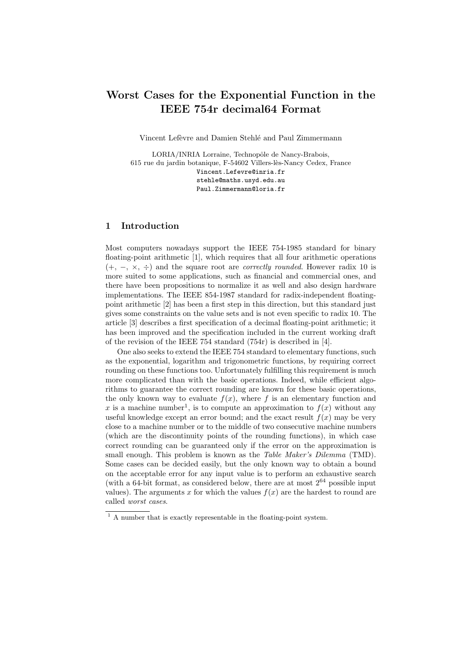# Worst Cases for the Exponential Function in the IEEE 754r decimal64 Format

Vincent Lefèvre and Damien Stehlé and Paul Zimmermann

LORIA/INRIA Lorraine, Technopôle de Nancy-Brabois, 615 rue du jardin botanique, F-54602 Villers-lès-Nancy Cedex, France Vincent.Lefevre@inria.fr stehle@maths.usyd.edu.au Paul.Zimmermann@loria.fr

# 1 Introduction

Most computers nowadays support the IEEE 754-1985 standard for binary floating-point arithmetic [1], which requires that all four arithmetic operations  $(+, -, \times, \div)$  and the square root are *correctly rounded*. However radix 10 is more suited to some applications, such as financial and commercial ones, and there have been propositions to normalize it as well and also design hardware implementations. The IEEE 854-1987 standard for radix-independent floatingpoint arithmetic [2] has been a first step in this direction, but this standard just gives some constraints on the value sets and is not even specific to radix 10. The article [3] describes a first specification of a decimal floating-point arithmetic; it has been improved and the specification included in the current working draft of the revision of the IEEE 754 standard (754r) is described in [4].

One also seeks to extend the IEEE 754 standard to elementary functions, such as the exponential, logarithm and trigonometric functions, by requiring correct rounding on these functions too. Unfortunately fulfilling this requirement is much more complicated than with the basic operations. Indeed, while efficient algorithms to guarantee the correct rounding are known for these basic operations, the only known way to evaluate  $f(x)$ , where f is an elementary function and x is a machine number<sup>1</sup>, is to compute an approximation to  $f(x)$  without any useful knowledge except an error bound; and the exact result  $f(x)$  may be very close to a machine number or to the middle of two consecutive machine numbers (which are the discontinuity points of the rounding functions), in which case correct rounding can be guaranteed only if the error on the approximation is small enough. This problem is known as the *Table Maker's Dilemma* (TMD). Some cases can be decided easily, but the only known way to obtain a bound on the acceptable error for any input value is to perform an exhaustive search (with a 64-bit format, as considered below, there are at most  $2^{64}$  possible input values). The arguments x for which the values  $f(x)$  are the hardest to round are called worst cases.

 $<sup>1</sup>$  A number that is exactly representable in the floating-point system.</sup>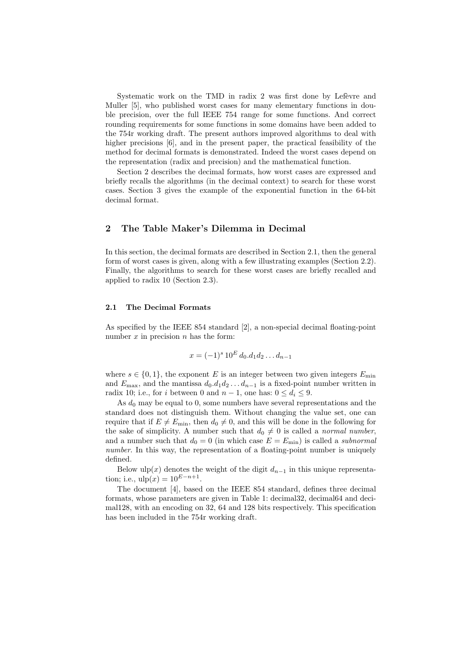Systematic work on the TMD in radix 2 was first done by Lefevre and Muller [5], who published worst cases for many elementary functions in double precision, over the full IEEE 754 range for some functions. And correct rounding requirements for some functions in some domains have been added to the 754r working draft. The present authors improved algorithms to deal with higher precisions [6], and in the present paper, the practical feasibility of the method for decimal formats is demonstrated. Indeed the worst cases depend on the representation (radix and precision) and the mathematical function.

Section 2 describes the decimal formats, how worst cases are expressed and briefly recalls the algorithms (in the decimal context) to search for these worst cases. Section 3 gives the example of the exponential function in the 64-bit decimal format.

## 2 The Table Maker's Dilemma in Decimal

In this section, the decimal formats are described in Section 2.1, then the general form of worst cases is given, along with a few illustrating examples (Section 2.2). Finally, the algorithms to search for these worst cases are briefly recalled and applied to radix 10 (Section 2.3).

#### 2.1 The Decimal Formats

As specified by the IEEE 854 standard [2], a non-special decimal floating-point number  $x$  in precision  $n$  has the form:

$$
x = (-1)^s 10^E d_0 d_1 d_2 \dots d_{n-1}
$$

where  $s \in \{0, 1\}$ , the exponent E is an integer between two given integers  $E_{\min}$ and  $E_{\text{max}}$ , and the mantissa  $d_0.d_1d_2 \ldots d_{n-1}$  is a fixed-point number written in radix 10; i.e., for i between 0 and  $n-1$ , one has:  $0 \le d_i \le 9$ .

As  $d_0$  may be equal to 0, some numbers have several representations and the standard does not distinguish them. Without changing the value set, one can require that if  $E \neq E_{\min}$ , then  $d_0 \neq 0$ , and this will be done in the following for the sake of simplicity. A number such that  $d_0 \neq 0$  is called a normal number, and a number such that  $d_0 = 0$  (in which case  $E = E_{\text{min}}$ ) is called a *subnormal* number. In this way, the representation of a floating-point number is uniquely defined.

Below ulp(x) denotes the weight of the digit  $d_{n-1}$  in this unique representation; i.e.,  $\text{ulp}(x) = 10^{E-n+1}$ .

The document [4], based on the IEEE 854 standard, defines three decimal formats, whose parameters are given in Table 1: decimal32, decimal64 and decimal128, with an encoding on 32, 64 and 128 bits respectively. This specification has been included in the 754r working draft.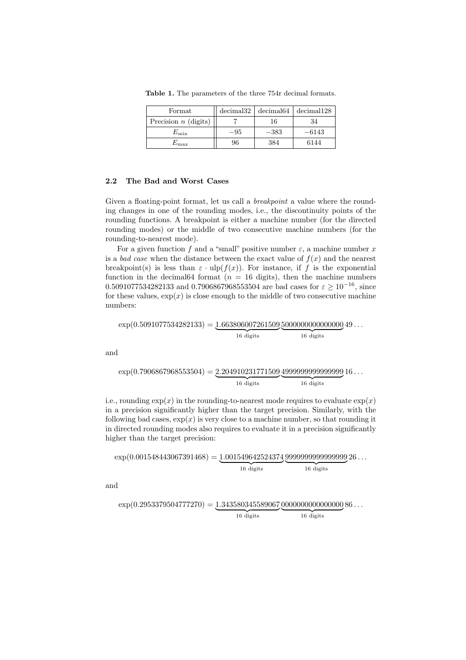Table 1. The parameters of the three 754r decimal formats.

| Format                 | decimal32 |        | decimal64   decimal128 |
|------------------------|-----------|--------|------------------------|
| Precision $n$ (digits) |           | 16     | 34                     |
| $E_{\rm min}$          | $-95$     | $-383$ | $-6143$                |
| $E_{\rm max}$          | 96        | 384    | 6144                   |

### 2.2 The Bad and Worst Cases

Given a floating-point format, let us call a *breakpoint* a value where the rounding changes in one of the rounding modes, i.e., the discontinuity points of the rounding functions. A breakpoint is either a machine number (for the directed rounding modes) or the middle of two consecutive machine numbers (for the rounding-to-nearest mode).

For a given function f and a "small" positive number  $\varepsilon$ , a machine number x is a *bad case* when the distance between the exact value of  $f(x)$  and the nearest breakpoint(s) is less than  $\varepsilon \cdot \text{ulp}(f(x))$ . For instance, if f is the exponential function in the decimal 64 format ( $n = 16$  digits), then the machine numbers 0.5091077534282133 and 0.7906867968553504 are bad cases for  $\varepsilon \ge 10^{-16}$ , since for these values,  $\exp(x)$  is close enough to the middle of two consecutive machine numbers:

 $\exp(0.5091077534282133) = 1.663806007261509500000000000000049...$  ${16}$  digits 16 digits

and

$$
\exp(0.7906867968553504) = \underbrace{2.204910231771509}_{16 \text{ digits}}\underbrace{4999999999999999}{16 \text{ digits}}
$$
16...

i.e., rounding  $\exp(x)$  in the rounding-to-nearest mode requires to evaluate  $\exp(x)$ in a precision significantly higher than the target precision. Similarly, with the following bad cases,  $\exp(x)$  is very close to a machine number, so that rounding it in directed rounding modes also requires to evaluate it in a precision significantly higher than the target precision:

$$
\exp(0.001548443067391468) = \underbrace{1.001549642524374}_{16 \text{ digits}}\underbrace{9999999999999999}{16 \text{ digits}}
$$

and

$$
\exp(0.2953379504777270) = \underbrace{1.343580345589067}_{16 \text{ digits}}\underbrace{0000000000000000}{16 \text{ digits}}
$$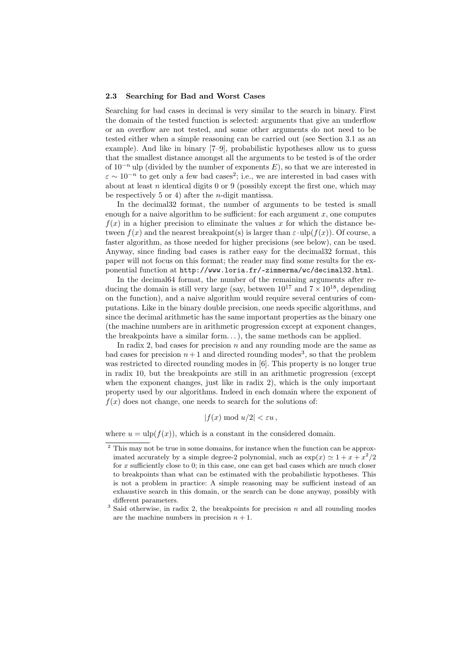#### 2.3 Searching for Bad and Worst Cases

Searching for bad cases in decimal is very similar to the search in binary. First the domain of the tested function is selected: arguments that give an underflow or an overflow are not tested, and some other arguments do not need to be tested either when a simple reasoning can be carried out (see Section 3.1 as an example). And like in binary [7–9], probabilistic hypotheses allow us to guess that the smallest distance amongst all the arguments to be tested is of the order of  $10^{-n}$  ulp (divided by the number of exponents E), so that we are interested in  $\varepsilon \sim 10^{-n}$  to get only a few bad cases<sup>2</sup>; i.e., we are interested in bad cases with about at least *n* identical digits  $0$  or  $9$  (possibly except the first one, which may be respectively 5 or 4) after the *n*-digit mantissa.

In the decimal32 format, the number of arguments to be tested is small enough for a naive algorithm to be sufficient: for each argument  $x$ , one computes  $f(x)$  in a higher precision to eliminate the values x for which the distance between  $f(x)$  and the nearest breakpoint(s) is larger than  $\varepsilon \cdot$ ulp( $f(x)$ ). Of course, a faster algorithm, as those needed for higher precisions (see below), can be used. Anyway, since finding bad cases is rather easy for the decimal32 format, this paper will not focus on this format; the reader may find some results for the exponential function at http://www.loria.fr/~ zimmerma/wc/decimal32.html.

In the decimal64 format, the number of the remaining arguments after reducing the domain is still very large (say, between  $10^{17}$  and  $7 \times 10^{18}$ , depending on the function), and a naive algorithm would require several centuries of computations. Like in the binary double precision, one needs specific algorithms, and since the decimal arithmetic has the same important properties as the binary one (the machine numbers are in arithmetic progression except at exponent changes, the breakpoints have a similar form. . . ), the same methods can be applied.

In radix 2, bad cases for precision  $n$  and any rounding mode are the same as bad cases for precision  $n+1$  and directed rounding modes<sup>3</sup>, so that the problem was restricted to directed rounding modes in [6]. This property is no longer true in radix 10, but the breakpoints are still in an arithmetic progression (except when the exponent changes, just like in radix  $(2)$ , which is the only important property used by our algorithms. Indeed in each domain where the exponent of  $f(x)$  does not change, one needs to search for the solutions of:

$$
|f(x) \bmod u/2| < \varepsilon u
$$

where  $u = \text{ulp}(f(x))$ , which is a constant in the considered domain.

<sup>&</sup>lt;sup>2</sup> This may not be true in some domains, for instance when the function can be approximated accurately by a simple degree-2 polynomial, such as  $\exp(x) \simeq 1 + x + x^2/2$ for  $x$  sufficiently close to 0; in this case, one can get bad cases which are much closer to breakpoints than what can be estimated with the probabilistic hypotheses. This is not a problem in practice: A simple reasoning may be sufficient instead of an exhaustive search in this domain, or the search can be done anyway, possibly with different parameters.

 $3$  Said otherwise, in radix 2, the breakpoints for precision  $n$  and all rounding modes are the machine numbers in precision  $n + 1$ .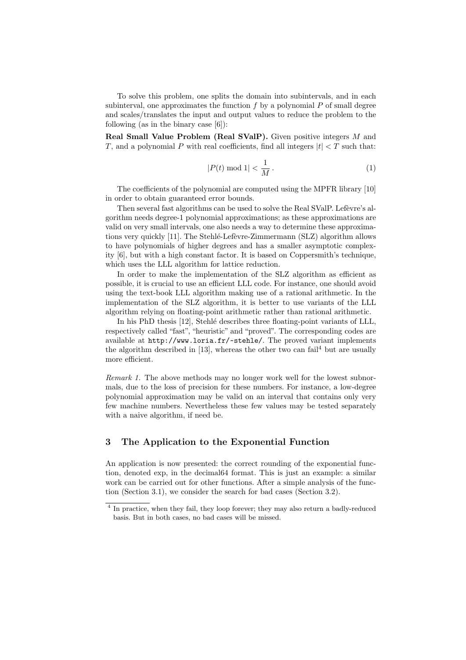To solve this problem, one splits the domain into subintervals, and in each subinterval, one approximates the function  $f$  by a polynomial  $P$  of small degree and scales/translates the input and output values to reduce the problem to the following (as in the binary case [6]):

Real Small Value Problem (Real SValP). Given positive integers M and T, and a polynomial P with real coefficients, find all integers  $|t| < T$  such that:

$$
|P(t) \bmod 1| < \frac{1}{M} \,. \tag{1}
$$

The coefficients of the polynomial are computed using the MPFR library [10] in order to obtain guaranteed error bounds.

Then several fast algorithms can be used to solve the Real SValP. Lefevre's algorithm needs degree-1 polynomial approximations; as these approximations are valid on very small intervals, one also needs a way to determine these approximations very quickly [11]. The Stehlé-Lefèvre-Zimmermann (SLZ) algorithm allows to have polynomials of higher degrees and has a smaller asymptotic complexity [6], but with a high constant factor. It is based on Coppersmith's technique, which uses the LLL algorithm for lattice reduction.

In order to make the implementation of the SLZ algorithm as efficient as possible, it is crucial to use an efficient LLL code. For instance, one should avoid using the text-book LLL algorithm making use of a rational arithmetic. In the implementation of the SLZ algorithm, it is better to use variants of the LLL algorithm relying on floating-point arithmetic rather than rational arithmetic.

In his PhD thesis [12], Stehlé describes three floating-point variants of LLL, respectively called "fast", "heuristic" and "proved". The corresponding codes are available at http://www.loria.fr/~ stehle/. The proved variant implements the algorithm described in  $[13]$ , whereas the other two can fail<sup>4</sup> but are usually more efficient.

Remark 1. The above methods may no longer work well for the lowest subnormals, due to the loss of precision for these numbers. For instance, a low-degree polynomial approximation may be valid on an interval that contains only very few machine numbers. Nevertheless these few values may be tested separately with a naive algorithm, if need be.

# 3 The Application to the Exponential Function

An application is now presented: the correct rounding of the exponential function, denoted exp, in the decimal64 format. This is just an example: a similar work can be carried out for other functions. After a simple analysis of the function (Section 3.1), we consider the search for bad cases (Section 3.2).

<sup>&</sup>lt;sup>4</sup> In practice, when they fail, they loop forever; they may also return a badly-reduced basis. But in both cases, no bad cases will be missed.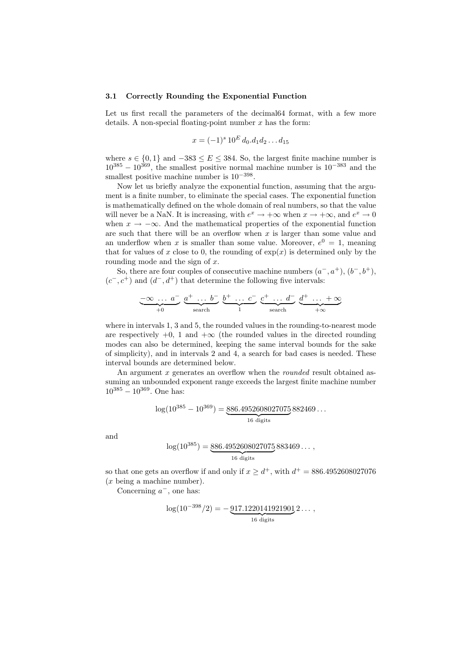#### 3.1 Correctly Rounding the Exponential Function

Let us first recall the parameters of the decimal 64 format, with a few more details. A non-special floating-point number  $x$  has the form:

$$
x = (-1)^s 10^E d_0.d_1 d_2 \dots d_{15}
$$

where  $s \in \{0, 1\}$  and  $-383 \le E \le 384$ . So, the largest finite machine number is  $10^{385} - 10^{369}$ , the smallest positive normal machine number is  $10^{-383}$  and the smallest positive machine number is  $10^{-398}$ .

Now let us briefly analyze the exponential function, assuming that the argument is a finite number, to eliminate the special cases. The exponential function is mathematically defined on the whole domain of real numbers, so that the value will never be a NaN. It is increasing, with  $e^x \to +\infty$  when  $x \to +\infty$ , and  $e^x \to 0$ when  $x \to -\infty$ . And the mathematical properties of the exponential function are such that there will be an overflow when  $x$  is larger than some value and an underflow when x is smaller than some value. Moreover,  $e^0 = 1$ , meaning that for values of x close to 0, the rounding of  $exp(x)$  is determined only by the rounding mode and the sign of  $x$ .

So, there are four couples of consecutive machine numbers  $(a^-, a^+), (b^-, b^+),$  $(c^-, c^+)$  and  $(d^-, d^+)$  that determine the following five intervals:

$$
\underbrace{-\infty \ldots a}_{+0} \underbrace{a^+ \ldots b}_{\text{search}} \underbrace{b^+ \ldots c}_{1} \underbrace{c^+ \ldots d}_{\text{search}} \underbrace{d^+ \ldots + \infty}_{+\infty}
$$

where in intervals 1, 3 and 5, the rounded values in the rounding-to-nearest mode are respectively  $+0$ , 1 and  $+\infty$  (the rounded values in the directed rounding modes can also be determined, keeping the same interval bounds for the sake of simplicity), and in intervals 2 and 4, a search for bad cases is needed. These interval bounds are determined below.

An argument x generates an overflow when the *rounded* result obtained assuming an unbounded exponent range exceeds the largest finite machine number  $10^{385} - 10^{369}$ . One has:

$$
\log(10^{385} - 10^{369}) = \underbrace{886.4952608027075}_{16 \text{ digits}} 882469...
$$

and

$$
\log(10^{385}) = \underbrace{886.4952608027075}_{16 \text{ digits}}883469\dots,
$$

so that one gets an overflow if and only if  $x \ge d^+$ , with  $d^+ = 886.4952608027076$ (x being a machine number).

Concerning  $a^-$ , one has:

$$
\log(10^{-398}/2) = -\underbrace{917.1220141921901}_{16 \text{ digits}} 2 \dots,
$$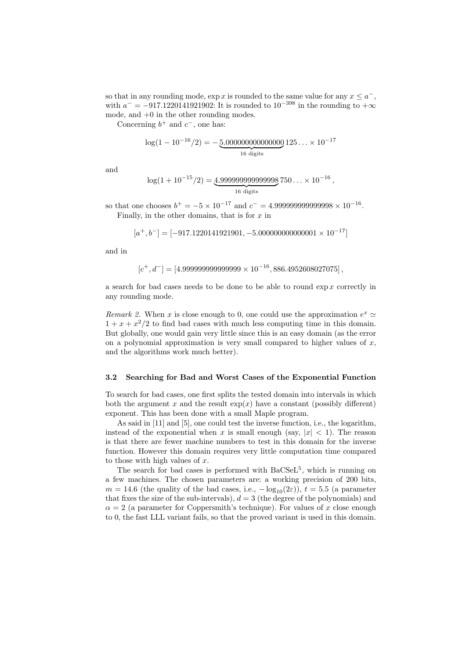so that in any rounding mode,  $\exp x$  is rounded to the same value for any  $x \leq a^{-}$ , with  $a^- = -917.1220141921902$ : It is rounded to  $10^{-398}$  in the rounding to  $+\infty$ mode, and +0 in the other rounding modes.

Concerning  $b^+$  and  $c^-$ , one has:

$$
\log(1 - 10^{-16}/2) = -\underbrace{5.000000000000000}{16 \text{ digits}} 125... \times 10^{-17}
$$

and

$$
\log(1+10^{-15}/2) = 4.999999999999998750\ldots \times 10^{-16},
$$
  
<sub>16 digits</sub>

so that one chooses  $b^+ = -5 \times 10^{-17}$  and  $c^- = 4.9999999999998 \times 10^{-16}$ . Finally, in the other domains, that is for  $x$  in

$$
[a^+, b^-] = [-917.1220141921901, -5.000000000000001 \times 10^{-17}]
$$

and in

$$
[c^+, d^-] = [4.99999999999999 \times 10^{-16}, 886.4952608027075],
$$

a search for bad cases needs to be done to be able to round  $\exp x$  correctly in any rounding mode.

Remark 2. When x is close enough to 0, one could use the approximation  $e^x \simeq$  $1 + x + x^2/2$  to find bad cases with much less computing time in this domain. But globally, one would gain very little since this is an easy domain (as the error on a polynomial approximation is very small compared to higher values of  $x$ , and the algorithms work much better).

#### 3.2 Searching for Bad and Worst Cases of the Exponential Function

To search for bad cases, one first splits the tested domain into intervals in which both the argument x and the result  $\exp(x)$  have a constant (possibly different) exponent. This has been done with a small Maple program.

As said in [11] and [5], one could test the inverse function, i.e., the logarithm, instead of the exponential when x is small enough (say,  $|x| < 1$ ). The reason is that there are fewer machine numbers to test in this domain for the inverse function. However this domain requires very little computation time compared to those with high values of  $x$ .

The search for bad cases is performed with  $BaCSeL^5$ , which is running on a few machines. The chosen parameters are: a working precision of 200 bits,  $m = 14.6$  (the quality of the bad cases, i.e.,  $-\log_{10}(2\varepsilon)$ ),  $t = 5.5$  (a parameter that fixes the size of the sub-intervals),  $d = 3$  (the degree of the polynomials) and  $\alpha = 2$  (a parameter for Coppersmith's technique). For values of x close enough to 0, the fast LLL variant fails, so that the proved variant is used in this domain.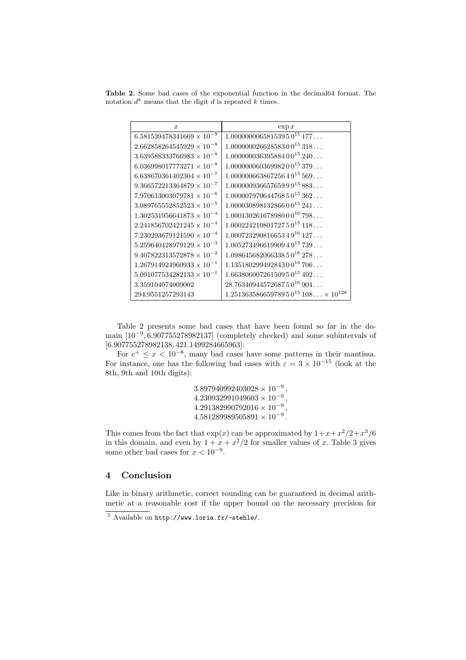Table 2. Some bad cases of the exponential function in the decimal64 format. The notation  $d^k$  means that the digit d is repeated k times.

| $\boldsymbol{x}$                   | $\exp x$                                      |
|------------------------------------|-----------------------------------------------|
| $6.581539478341669 \times 10^{-9}$ | $1.00000000658153950^{15}177$                 |
| $2.662858264545929 \times 10^{-8}$ | $1.00000002662858300^{15}318$                 |
| $3.639588333766983 \times 10^{-8}$ | $1.00000003639588400^{15}240$                 |
| $6.036998017773271\times10^{-8}$   | $1.00000006036998200^{15}379$                 |
| $6.638670361402304 \times 10^{-7}$ | $1.00000066386725649^{15}569$                 |
| $9.366572213364879 \times 10^{-7}$ | $1.00000093665765999^{15}883$                 |
| $7.970613003079781\times 10^{-6}$  | $1.00000797064476850^{15}362$                 |
| $3.089765552852523\times 10^{-5}$  | $1.00003089813286600^{15}241$                 |
| $1.302531956641873 \times 10^{-4}$ | $1.00013026167898000^{16}798$                 |
| $2.241856702421245 \times 10^{-4}$ | $1.00022421080172750^{15}118$                 |
| $7.230293679121590 \times 10^{-4}$ | $1.00072329081665349^{16}127$                 |
| $5.259640428979129 \times 10^{-3}$ | $1.00527349661990949^{15}739$                 |
| $9.407822313572878 \times 10^{-2}$ | $1.09864568206633850^{16}278$                 |
| $1.267914924960933 \times 10^{-1}$ | $1.13518029949284300^{16}706$                 |
| $5.091077534282133 \times 10^{-1}$ | $1.66380600726150950^{15}492$                 |
| 3.359104074009002                  | $28.7634094457268750^{16}904$                 |
| 294.9551257293143                  | $1.25136358665978950^{15}108 \times 10^{128}$ |

Table 2 presents some bad cases that have been found so far in the domain [10<sup>−</sup><sup>9</sup> , 6.907755278982137] (completely checked) and some subintervals of [6.907755278982138, 421.1499284665963].

For  $c^+ \leq x < 10^{-8}$ , many bad cases have some patterns in their mantissa. For instance, one has the following bad cases with  $\varepsilon = 3 \times 10^{-15}$  (look at the 8th, 9th and 10th digits):

> $3.897940992403028 \times 10^{-9}$ ,  $4.230932991049603\times 10^{-9}$ ,  $4.291382990792016 \times 10^{-9}$ ,  $4.581289989505891 \times 10^{-9}$ .

This comes from the fact that  $\exp(x)$  can be approximated by  $1 + x + x^2/2 + x^3/6$ in this domain, and even by  $1 + x + x^2/2$  for smaller values of x. Table 3 gives some other bad cases for  $x < 10^{-9}$ .

# 4 Conclusion

Like in binary arithmetic, correct rounding can be guaranteed in decimal arithmetic at a reasonable cost if the upper bound on the necessary precision for

Available on http://www.loria.fr/~stehle/.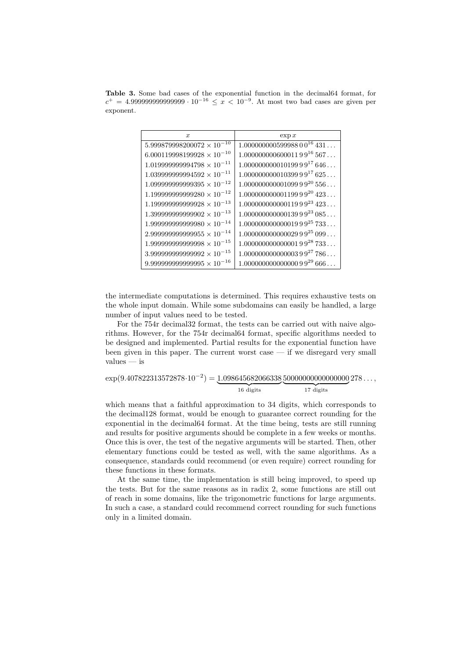Table 3. Some bad cases of the exponential function in the decimal64 format, for  $c^{+} = 4.9999999999999999 \cdot 10^{-16}$  ≤  $x < 10^{-9}$ . At most two bad cases are given per exponent.

| $\boldsymbol{x}$                    | $\exp x$                      |
|-------------------------------------|-------------------------------|
| $5.999879998200072 \times 10^{-10}$ | $1.00000000059998800^{16}431$ |
| $6.000119998199928 \times 10^{-10}$ | $1.00000000000001199^{16}567$ |
| $1.019999999994798 \times 10^{-11}$ | $1.00000000001019999^{17}646$ |
| $1.039999999994592 \times 10^{-11}$ | $1.00000000001039999^{17}625$ |
| $1.099999999999395 \times 10^{-12}$ | $1.00000000000109999^{20}556$ |
| $1.199999999999280 \times 10^{-12}$ | $1.00000000000119999^{20}423$ |
| $1.19999999999928 \times 10^{-13}$  | $1.00000000000011999^{23}423$ |
| $1.399999999999902 \times 10^{-13}$ | $1.00000000000013999^{23}085$ |
| $1.99999999999980 \times 10^{-14}$  | $1.00000000000001999^{25}733$ |
| $2.99999999999955 \times 10^{-14}$  | $1.00000000000002999^{25}099$ |
| $1.999999999999998 \times 10^{-15}$ | $1.00000000000000199^{28}733$ |
| $3.99999999999992 \times 10^{-15}$  | $1.00000000000000399^{27}786$ |
| $9.99999999999995 \times 10^{-16}$  | $1.00000000000000099^{29}666$ |

the intermediate computations is determined. This requires exhaustive tests on the whole input domain. While some subdomains can easily be handled, a large number of input values need to be tested.

For the 754r decimal32 format, the tests can be carried out with naive algorithms. However, for the 754r decimal64 format, specific algorithms needed to be designed and implemented. Partial results for the exponential function have been given in this paper. The current worst case — if we disregard very small values — is

$$
\exp(9.407822313572878 \cdot 10^{-2}) = \underbrace{1.098645682066338}_{16 \text{ digits}}\underbrace{50000000000000000}{17 \text{ digits}}
$$

which means that a faithful approximation to 34 digits, which corresponds to the decimal128 format, would be enough to guarantee correct rounding for the exponential in the decimal64 format. At the time being, tests are still running and results for positive arguments should be complete in a few weeks or months. Once this is over, the test of the negative arguments will be started. Then, other elementary functions could be tested as well, with the same algorithms. As a consequence, standards could recommend (or even require) correct rounding for these functions in these formats.

At the same time, the implementation is still being improved, to speed up the tests. But for the same reasons as in radix 2, some functions are still out of reach in some domains, like the trigonometric functions for large arguments. In such a case, a standard could recommend correct rounding for such functions only in a limited domain.